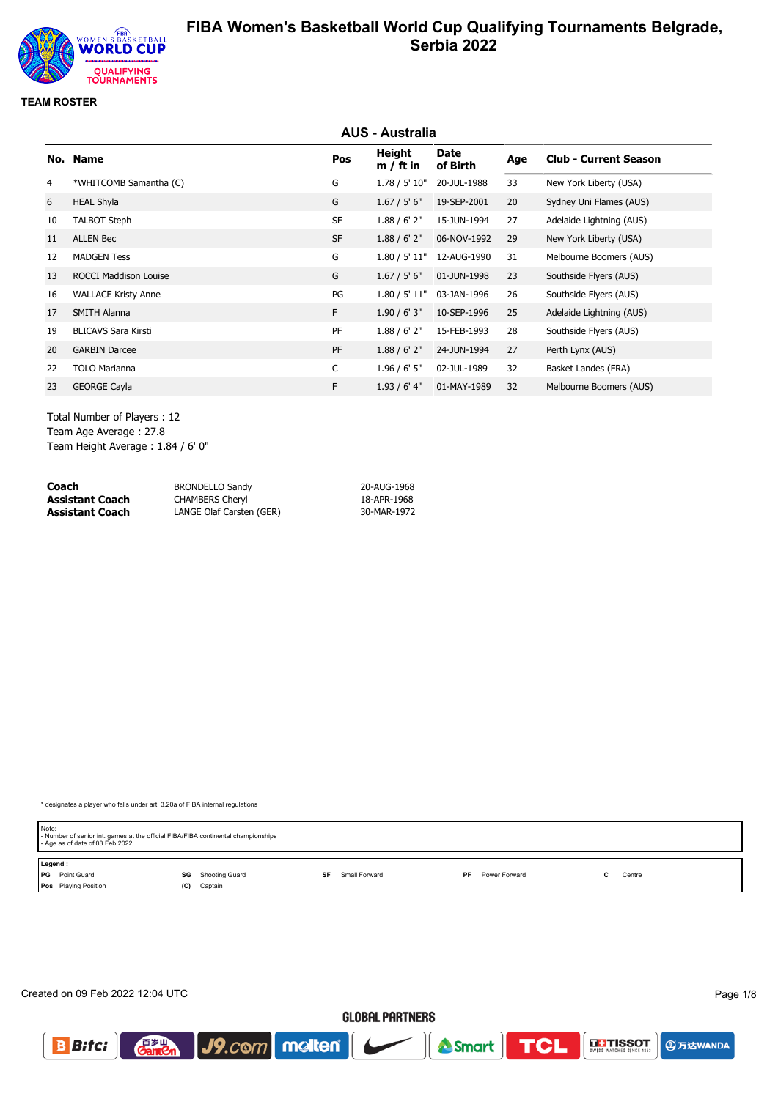

#### **TEAM ROSTER**

|    |                              |           | <b>AUS - Australia</b> |                         |     |                              |
|----|------------------------------|-----------|------------------------|-------------------------|-----|------------------------------|
|    | No. Name                     | Pos       | Height<br>$m / ft$ in  | <b>Date</b><br>of Birth | Age | <b>Club - Current Season</b> |
| 4  | *WHITCOMB Samantha (C)       | G         | 1.78 / 5' 10"          | 20-JUL-1988             | 33  | New York Liberty (USA)       |
| 6  | <b>HEAL Shyla</b>            | G         | 1.67 / 5' 6''          | 19-SEP-2001             | 20  | Sydney Uni Flames (AUS)      |
| 10 | <b>TALBOT Steph</b>          | <b>SF</b> | 1.88 / 6' 2''          | 15-JUN-1994             | 27  | Adelaide Lightning (AUS)     |
| 11 | <b>ALLEN Bec</b>             | <b>SF</b> | 1.88 / 6' 2''          | 06-NOV-1992             | 29  | New York Liberty (USA)       |
| 12 | <b>MADGEN Tess</b>           | G         | 1.80 / 5' 11"          | 12-AUG-1990             | 31  | Melbourne Boomers (AUS)      |
| 13 | <b>ROCCI Maddison Louise</b> | G         | 1.67 / 5' 6''          | 01-JUN-1998             | 23  | Southside Flyers (AUS)       |
| 16 | <b>WALLACE Kristy Anne</b>   | PG        | 1.80 / 5' 11"          | 03-JAN-1996             | 26  | Southside Flyers (AUS)       |
| 17 | <b>SMITH Alanna</b>          | F.        | 1.90 / 6' 3''          | 10-SEP-1996             | 25  | Adelaide Lightning (AUS)     |
| 19 | <b>BLICAVS Sara Kirsti</b>   | PF        | 1.88 / 6' 2"           | 15-FEB-1993             | 28  | Southside Flyers (AUS)       |
| 20 | <b>GARBIN Darcee</b>         | PF        | 1.88 / 6' 2''          | 24-JUN-1994             | 27  | Perth Lynx (AUS)             |
| 22 | <b>TOLO Marianna</b>         | C         | $1.96 / 6'$ 5"         | 02-JUL-1989             | 32  | Basket Landes (FRA)          |
| 23 | <b>GEORGE Cayla</b>          | F.        | $1.93/6'$ 4"           | 01-MAY-1989             | 32  | Melbourne Boomers (AUS)      |
|    |                              |           |                        |                         |     |                              |

Total Number of Players : 12 Team Age Average : 27.8

Team Height Average : 1.84 / 6' 0"

| Coach           | <b>BRONDELLO Sandy</b>   | 20-AUG-1968 |
|-----------------|--------------------------|-------------|
| Assistant Coach | <b>CHAMBERS Cheryl</b>   | 18-APR-1968 |
| Assistant Coach | LANGE Olaf Carsten (GER) | 30-MAR-1972 |

| Note:   | - Number of senior int. games at the official FIBA/FIBA continental championships<br>- Age as of date of 08 Feb 2022 |     |                |    |               |     |               |  |        |  |
|---------|----------------------------------------------------------------------------------------------------------------------|-----|----------------|----|---------------|-----|---------------|--|--------|--|
| Legend: |                                                                                                                      |     |                |    |               |     |               |  |        |  |
|         | <b>PG</b> Point Guard                                                                                                | SG  | Shooting Guard | SF | Small Forward | PF. | Power Forward |  | Centre |  |
|         | <b>Pos</b> Playing Position                                                                                          | (C) | Captain        |    |               |     |               |  |        |  |

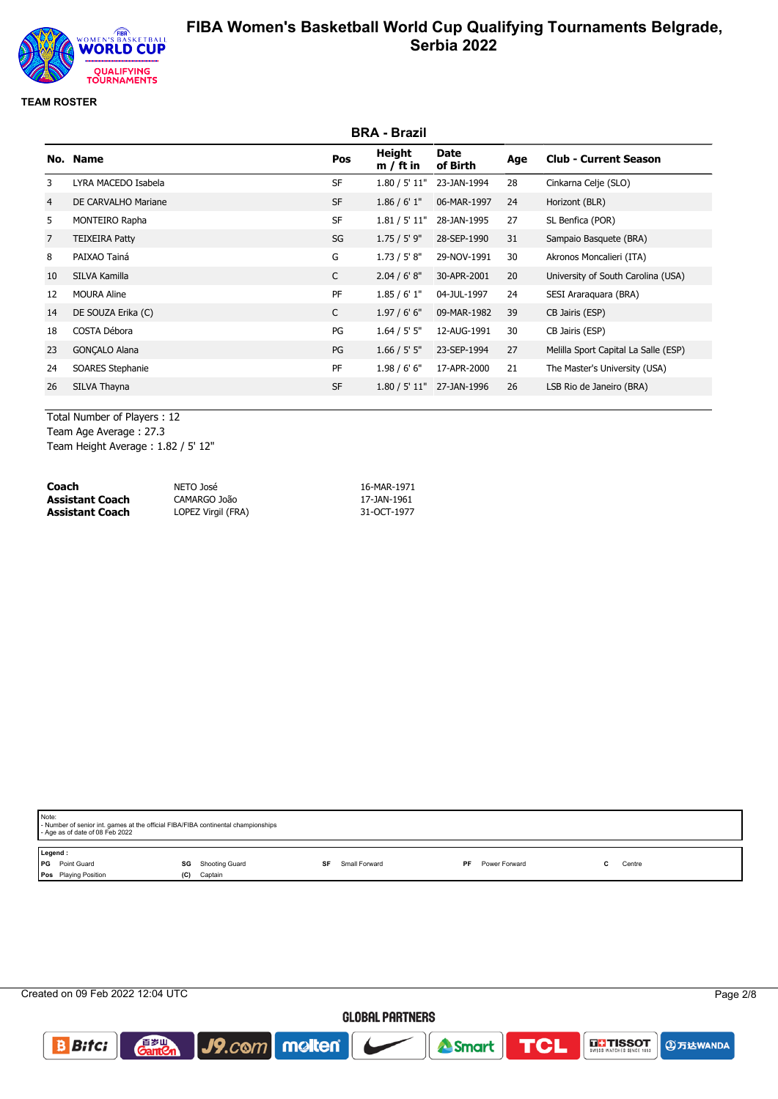

#### **TEAM ROSTER**

|                |                       |              | <b>BRA - Brazil</b>   |                  |     |                                      |
|----------------|-----------------------|--------------|-----------------------|------------------|-----|--------------------------------------|
|                | No. Name              | Pos          | Height<br>$m / ft$ in | Date<br>of Birth | Age | <b>Club - Current Season</b>         |
| 3              | LYRA MACEDO Isabela   | <b>SF</b>    | 1.80 / 5' 11"         | 23-JAN-1994      | 28  | Cinkarna Celje (SLO)                 |
| 4              | DE CARVALHO Mariane   | <b>SF</b>    | 1.86 / 6' 1''         | 06-MAR-1997      | 24  | Horizont (BLR)                       |
| 5              | MONTEIRO Rapha        | <b>SF</b>    | 1.81 / 5' 11"         | 28-JAN-1995      | 27  | SL Benfica (POR)                     |
| $\overline{7}$ | <b>TEIXEIRA Patty</b> | SG           | $1.75 / 5'$ 9"        | 28-SEP-1990      | 31  | Sampaio Basquete (BRA)               |
| 8              | PAIXAO Tainá          | G            | 1.73 / 5' 8''         | 29-NOV-1991      | 30  | Akronos Moncalieri (ITA)             |
| 10             | SILVA Kamilla         | $\mathsf{C}$ | 2.04 / 6' 8''         | 30-APR-2001      | 20  | University of South Carolina (USA)   |
| 12             | <b>MOURA Aline</b>    | PF           | 1.85/6'1"             | 04-JUL-1997      | 24  | SESI Araraguara (BRA)                |
| 14             | DE SOUZA Erika (C)    | C            | 1.97/6'6''            | 09-MAR-1982      | 39  | CB Jairis (ESP)                      |
| 18             | COSTA Débora          | PG           | 1.64 / 5' 5''         | 12-AUG-1991      | 30  | CB Jairis (ESP)                      |
| 23             | <b>GONCALO Alana</b>  | PG           | 1.66 / 5' 5''         | 23-SEP-1994      | 27  | Melilla Sport Capital La Salle (ESP) |
| 24             | SOARES Stephanie      | PF           | 1.98 / 6' 6''         | 17-APR-2000      | 21  | The Master's University (USA)        |
| 26             | SILVA Thayna          | <b>SF</b>    | 1.80 / 5' 11"         | 27-JAN-1996      | 26  | LSB Rio de Janeiro (BRA)             |
|                |                       |              |                       |                  |     |                                      |

Total Number of Players : 12 Team Age Average : 27.3 Team Height Average : 1.82 / 5' 12"

| Coach                  | NETO José          | 16-MAR-1971 |
|------------------------|--------------------|-------------|
| <b>Assistant Coach</b> | CAMARGO João       | 17-JAN-1961 |
| <b>Assistant Coach</b> | LOPEZ Virgil (FRA) | 31-OCT-1977 |

| Note: | - Number of senior int. games at the official FIBA/FIBA continental championships<br>- Age as of date of 08 Feb 2022 |     |         |  |  |  |  |  |  |
|-------|----------------------------------------------------------------------------------------------------------------------|-----|---------|--|--|--|--|--|--|
| l PG  | Legend:<br>Point Guard<br><b>SG</b> Shooting Guard<br>Small Forward<br>Power Forward<br>SF<br>Centre<br>PF           |     |         |  |  |  |  |  |  |
|       | Pos Playing Position                                                                                                 | (C) | Captain |  |  |  |  |  |  |

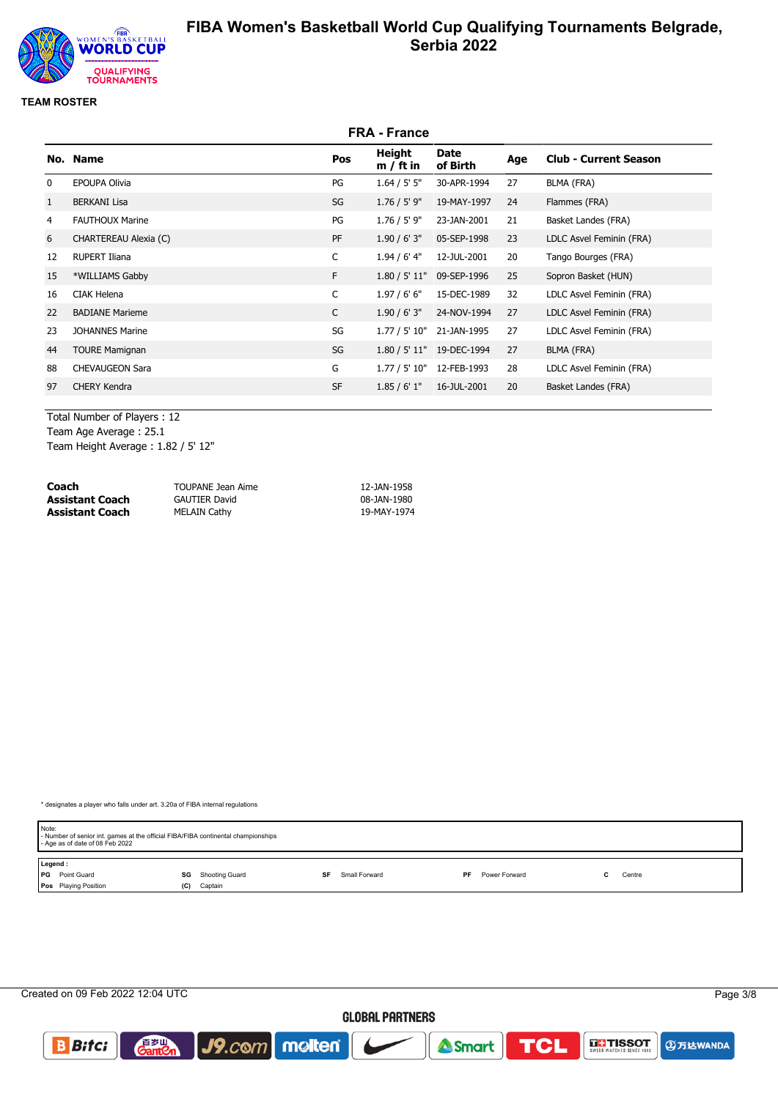

#### **TEAM ROSTER**

|              |                        |              | <b>FRA - France</b>   |                           |     |                              |
|--------------|------------------------|--------------|-----------------------|---------------------------|-----|------------------------------|
|              | No. Name               | Pos          | Height<br>$m / ft$ in | Date<br>of Birth          | Age | <b>Club - Current Season</b> |
| $\mathbf{0}$ | <b>EPOUPA Olivia</b>   | PG           | 1.64 / 5' 5''         | 30-APR-1994               | 27  | BLMA (FRA)                   |
| $\mathbf{1}$ | <b>BERKANI Lisa</b>    | SG           | $1.76 / 5'$ 9"        | 19-MAY-1997               | 24  | Flammes (FRA)                |
| 4            | <b>FAUTHOUX Marine</b> | PG           | $1.76 / 5'$ 9"        | 23-JAN-2001               | 21  | Basket Landes (FRA)          |
| 6            | CHARTEREAU Alexia (C)  | PF           | 1.90 / 6' 3''         | 05-SEP-1998               | 23  | LDLC Asvel Feminin (FRA)     |
| 12           | <b>RUPERT Iliana</b>   | C            | $1.94/6'$ 4"          | 12-JUL-2001               | 20  | Tango Bourges (FRA)          |
| 15           | *WILLIAMS Gabby        | F.           | 1.80 / 5' 11"         | 09-SEP-1996               | 25  | Sopron Basket (HUN)          |
| 16           | <b>CIAK Helena</b>     | $\mathsf{C}$ | 1.97/6'6''            | 15-DEC-1989               | 32  | LDLC Asvel Feminin (FRA)     |
| 22           | <b>BADIANE Marieme</b> | C            | 1.90 / 6' 3''         | 24-NOV-1994               | 27  | LDLC Asvel Feminin (FRA)     |
| 23           | <b>JOHANNES Marine</b> | SG           | 1.77 / 5' 10"         | 21-JAN-1995               | 27  | LDLC Asvel Feminin (FRA)     |
| 44           | <b>TOURE Mamignan</b>  | SG           |                       | 1.80 / 5' 11" 19-DEC-1994 | 27  | BLMA (FRA)                   |
| 88           | <b>CHEVAUGEON Sara</b> | G            | 1.77 / 5' 10"         | 12-FEB-1993               | 28  | LDLC Asvel Feminin (FRA)     |
| 97           | <b>CHERY Kendra</b>    | <b>SF</b>    | 1.85/6'1"             | 16-JUL-2001               | 20  | Basket Landes (FRA)          |
|              |                        |              |                       |                           |     |                              |

Total Number of Players : 12 Team Age Average : 25.1 Team Height Average : 1.82 / 5' 12"

| Coach                  | TOUPANE Jean Aime    | 12-JAN-1958 |
|------------------------|----------------------|-------------|
| <b>Assistant Coach</b> | <b>GAUTIER David</b> | 08-JAN-1980 |
| <b>Assistant Coach</b> | <b>MELAIN Cathy</b>  | 19-MAY-1974 |

| Note:<br>- Age as of date of 08 Feb 2022 | - Number of senior int. games at the official FIBA/FIBA continental championships |                     |                      |        |  |
|------------------------------------------|-----------------------------------------------------------------------------------|---------------------|----------------------|--------|--|
| Legend:                                  |                                                                                   |                     |                      |        |  |
| <b>PG</b> Point Guard                    | Shooting Guard<br>SG                                                              | Small Forward<br>SF | PF.<br>Power Forward | Centre |  |
| Pos Playing Position                     | (C)<br>Captain                                                                    |                     |                      |        |  |

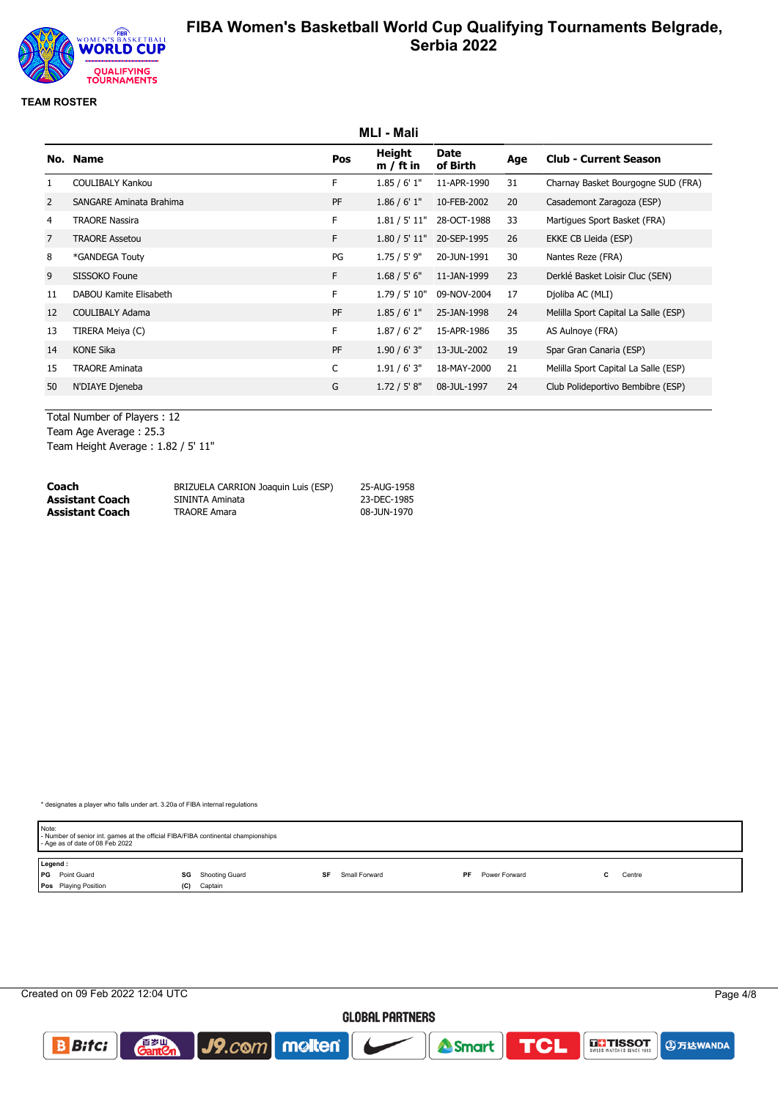

#### **TEAM ROSTER**

|    |                                |           | MLI - Mali            |                         |     |                                      |
|----|--------------------------------|-----------|-----------------------|-------------------------|-----|--------------------------------------|
|    | No. Name                       | Pos       | Height<br>$m / ft$ in | <b>Date</b><br>of Birth | Age | <b>Club - Current Season</b>         |
|    | <b>COULIBALY Kankou</b>        | F.        | 1.85/6'1"             | 11-APR-1990             | 31  | Charnay Basket Bourgogne SUD (FRA)   |
| 2  | <b>SANGARE Aminata Brahima</b> | PF        | 1.86 / 6' 1''         | 10-FEB-2002             | 20  | Casademont Zaragoza (ESP)            |
| 4  | <b>TRAORE Nassira</b>          | F.        | 1.81 / 5' 11"         | 28-OCT-1988             | 33  | Martigues Sport Basket (FRA)         |
| 7  | <b>TRAORE Assetou</b>          | F.        | 1.80 / 5' 11"         | 20-SEP-1995             | 26  | EKKE CB Lleida (ESP)                 |
| 8  | *GANDEGA Touty                 | PG        | $1.75 / 5'$ 9"        | 20-JUN-1991             | 30  | Nantes Reze (FRA)                    |
| 9  | SISSOKO Foune                  | F.        | 1.68 / 5' 6''         | 11-JAN-1999             | 23  | Derklé Basket Loisir Cluc (SEN)      |
| 11 | DABOU Kamite Elisabeth         | F.        | 1.79 / 5' 10"         | 09-NOV-2004             | 17  | Djoliba AC (MLI)                     |
| 12 | <b>COULIBALY Adama</b>         | PF        | 1.85/6'1"             | 25-JAN-1998             | 24  | Melilla Sport Capital La Salle (ESP) |
| 13 | TIRERA Meiya (C)               | F.        | 1.87 / 6' 2''         | 15-APR-1986             | 35  | AS Aulnoye (FRA)                     |
| 14 | <b>KONE Sika</b>               | <b>PF</b> | 1.90 / 6' 3''         | 13-JUL-2002             | 19  | Spar Gran Canaria (ESP)              |
| 15 | <b>TRAORE Aminata</b>          | C         | 1.91 / 6' 3''         | 18-MAY-2000             | 21  | Melilla Sport Capital La Salle (ESP) |
| 50 | N'DIAYE Djeneba                | G         | 1.72 / 5' 8''         | 08-JUL-1997             | 24  | Club Polideportivo Bembibre (ESP)    |
|    |                                |           |                       |                         |     |                                      |

Total Number of Players : 12 Team Age Average : 25.3 Team Height Average : 1.82 / 5' 11"

| Coach           | BRIZUELA CARRION Joaquin Luis (ESP) | 25-AUG-1958 |
|-----------------|-------------------------------------|-------------|
| Assistant Coach | SININTA Aminata                     | 23-DEC-1985 |
| Assistant Coach | <b>TRAORE Amara</b>                 | 08-JUN-1970 |

| Note:   |                             |     |                | - Number of senior int. games at the official FIBA/FIBA continental championships<br>- Age as of date of 08 Feb 2022 |    |               |  |    |               |  |  |        |
|---------|-----------------------------|-----|----------------|----------------------------------------------------------------------------------------------------------------------|----|---------------|--|----|---------------|--|--|--------|
| Legend: |                             |     |                |                                                                                                                      |    |               |  |    |               |  |  |        |
|         | <b>PG</b> Point Guard       | SG  | Shooting Guard |                                                                                                                      | SF | Small Forward |  | PF | Power Forward |  |  | Centre |
|         | <b>Pos</b> Playing Position | (C) | Captain        |                                                                                                                      |    |               |  |    |               |  |  |        |

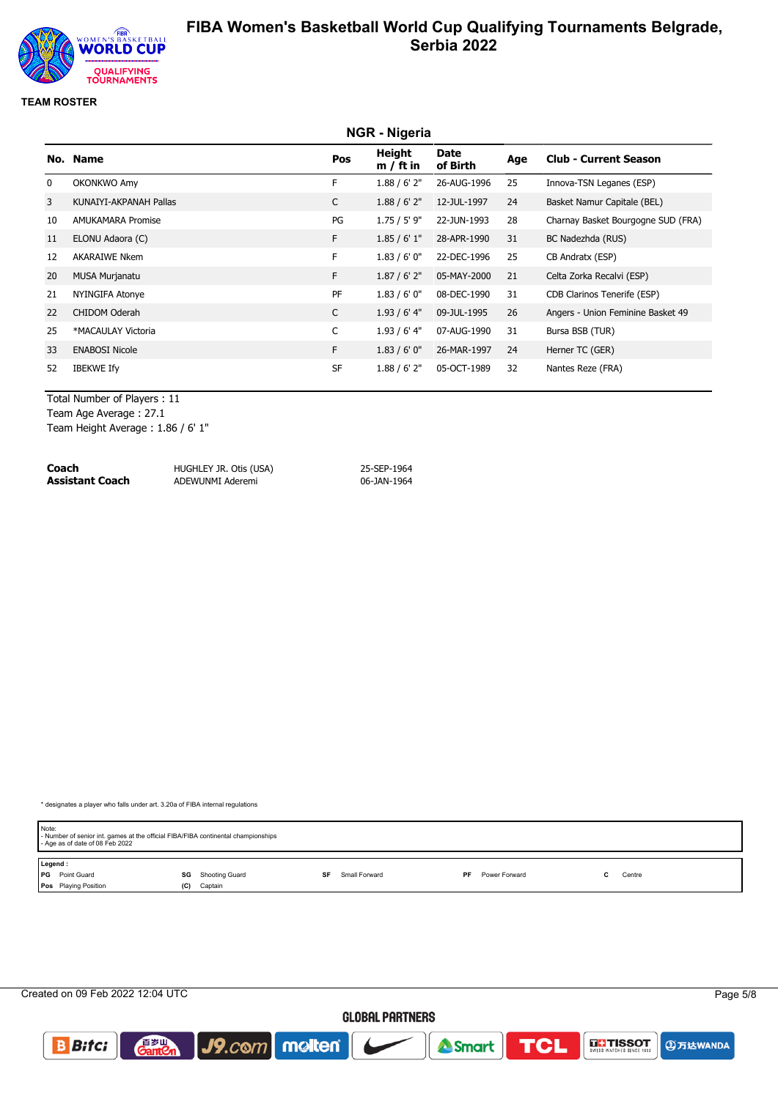

#### **TEAM ROSTER**

|    | <b>NGR</b> - Nigeria     |              |                       |                  |     |                                    |  |  |  |
|----|--------------------------|--------------|-----------------------|------------------|-----|------------------------------------|--|--|--|
|    | No. Name                 | Pos          | Height<br>$m / ft$ in | Date<br>of Birth | Age | <b>Club - Current Season</b>       |  |  |  |
| 0  | OKONKWO Amy              | F            | 1.88 / 6' 2''         | 26-AUG-1996      | 25  | Innova-TSN Leganes (ESP)           |  |  |  |
| 3  | KUNAIYI-AKPANAH Pallas   | C            | $1.88 / 6'$ 2"        | 12-JUL-1997      | 24  | Basket Namur Capitale (BEL)        |  |  |  |
| 10 | <b>AMUKAMARA Promise</b> | PG           | 1.75 / 5' 9"          | 22-JUN-1993      | 28  | Charnay Basket Bourgogne SUD (FRA) |  |  |  |
| 11 | ELONU Adaora (C)         | F            | 1.85/6'1"             | 28-APR-1990      | 31  | BC Nadezhda (RUS)                  |  |  |  |
| 12 | <b>AKARAIWE Nkem</b>     | F            | 1.83/6'0''            | 22-DEC-1996      | 25  | CB Andratx (ESP)                   |  |  |  |
| 20 | <b>MUSA Murjanatu</b>    | F.           | 1.87 / 6' 2''         | 05-MAY-2000      | 21  | Celta Zorka Recalvi (ESP)          |  |  |  |
| 21 | NYINGIFA Atonye          | PF           | 1.83/6'0''            | 08-DEC-1990      | 31  | CDB Clarinos Tenerife (ESP)        |  |  |  |
| 22 | <b>CHIDOM Oderah</b>     | $\mathsf{C}$ | $1.93/6'$ 4"          | 09-JUL-1995      | 26  | Angers - Union Feminine Basket 49  |  |  |  |
| 25 | *MACAULAY Victoria       | C            | $1.93/6'$ 4"          | 07-AUG-1990      | 31  | Bursa BSB (TUR)                    |  |  |  |
| 33 | <b>ENABOSI Nicole</b>    | F.           | 1.83/6'0''            | 26-MAR-1997      | 24  | Herner TC (GER)                    |  |  |  |
| 52 | <b>IBEKWE Ify</b>        | <b>SF</b>    | 1.88 / 6' 2''         | 05-OCT-1989      | 32  | Nantes Reze (FRA)                  |  |  |  |

Total Number of Players : 11

Team Age Average : 27.1

Team Height Average : 1.86 / 6' 1"

| Coach           | HUGHLEY JR. Otis (USA) | 25-SEP-1964 |
|-----------------|------------------------|-------------|
| Assistant Coach | ADEWUNMI Aderemi       | 06-JAN-1964 |

|         | Note:<br>- Number of senior int. games at the official FIBA/FIBA continental championships<br>- Age as of date of 08 Feb 2022 |     |                |    |               |    |               |  |        |  |
|---------|-------------------------------------------------------------------------------------------------------------------------------|-----|----------------|----|---------------|----|---------------|--|--------|--|
| Legend: |                                                                                                                               |     |                |    |               |    |               |  |        |  |
|         | <b>PG</b> Point Guard                                                                                                         | SG  | Shooting Guard | SF | Small Forward | PF | Power Forward |  | Centre |  |
|         | <b>Pos</b> Playing Position                                                                                                   | (C) | Captain        |    |               |    |               |  |        |  |

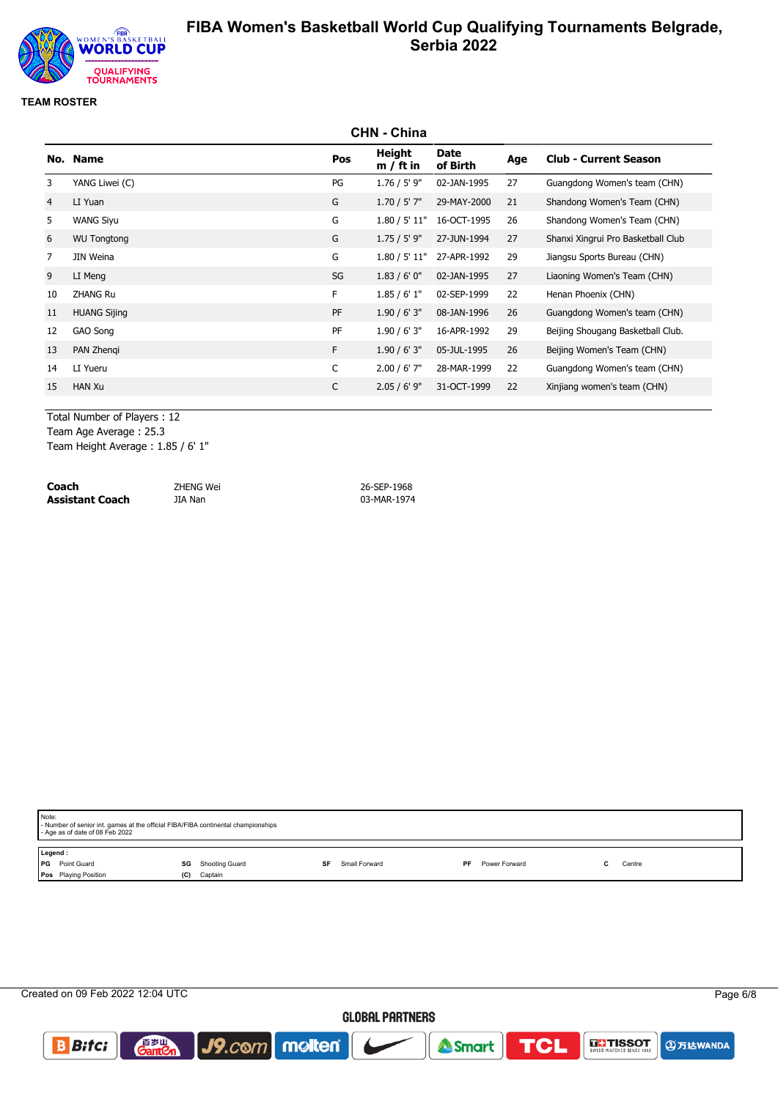

#### **TEAM ROSTER**

|                | <b>CHN - China</b>  |     |                       |                         |     |                                    |  |  |
|----------------|---------------------|-----|-----------------------|-------------------------|-----|------------------------------------|--|--|
|                | No. Name            | Pos | Height<br>$m / ft$ in | <b>Date</b><br>of Birth | Age | <b>Club - Current Season</b>       |  |  |
| 3              | YANG Liwei (C)      | PG  | $1.76 / 5'$ 9"        | 02-JAN-1995             | 27  | Guangdong Women's team (CHN)       |  |  |
| $\overline{4}$ | LI Yuan             | G   | $1.70 / 5'$ 7"        | 29-MAY-2000             | 21  | Shandong Women's Team (CHN)        |  |  |
| 5              | <b>WANG Siyu</b>    | G   | 1.80 / 5' 11"         | 16-OCT-1995             | 26  | Shandong Women's Team (CHN)        |  |  |
| 6              | <b>WU Tongtong</b>  | G   | $1.75 / 5'$ 9"        | 27-JUN-1994             | 27  | Shanxi Xingrui Pro Basketball Club |  |  |
| 7              | JIN Weina           | G   | 1.80 / 5' 11"         | 27-APR-1992             | 29  | Jiangsu Sports Bureau (CHN)        |  |  |
| 9              | LI Meng             | SG  | 1.83/6'0''            | 02-JAN-1995             | 27  | Liaoning Women's Team (CHN)        |  |  |
| 10             | <b>ZHANG Ru</b>     | F.  | 1.85/6'1"             | 02-SEP-1999             | 22  | Henan Phoenix (CHN)                |  |  |
| 11             | <b>HUANG Sijing</b> | PF  | 1.90 / 6' 3''         | 08-JAN-1996             | 26  | Guangdong Women's team (CHN)       |  |  |
| 12             | GAO Song            | PF  | 1.90 / 6' 3''         | 16-APR-1992             | 29  | Beijing Shougang Basketball Club.  |  |  |
| 13             | PAN Zhengi          | F.  | 1.90 / 6' 3''         | 05-JUL-1995             | 26  | Beijing Women's Team (CHN)         |  |  |
| 14             | LI Yueru            | C   | $2.00 / 6'$ 7"        | 28-MAR-1999             | 22  | Guangdong Women's team (CHN)       |  |  |
| 15             | <b>HAN Xu</b>       | C   | $2.05 / 6'$ 9"        | 31-OCT-1999             | 22  | Xinjiang women's team (CHN)        |  |  |

Total Number of Players : 12

Team Age Average : 25.3

Team Height Average : 1.85 / 6' 1"

**Coach** ZHENG Wei 26-SEP-1968 **Assistant Coach** JIA Nan **1997** JIA Nan **19974** 

|                      | Note:<br>- Number of senior int. games at the official FIBA/FIBA continental championships<br>- Age as of date of 08 Feb 2022 |     |                |    |               |           |               |  |        |  |
|----------------------|-------------------------------------------------------------------------------------------------------------------------------|-----|----------------|----|---------------|-----------|---------------|--|--------|--|
| Legend:<br><b>PG</b> | Point Guard                                                                                                                   | SG  | Shooting Guard | SF | Small Forward | <b>PF</b> | Power Forward |  | Centre |  |
|                      | Pos Playing Position                                                                                                          | (C) | Captain        |    |               |           |               |  |        |  |

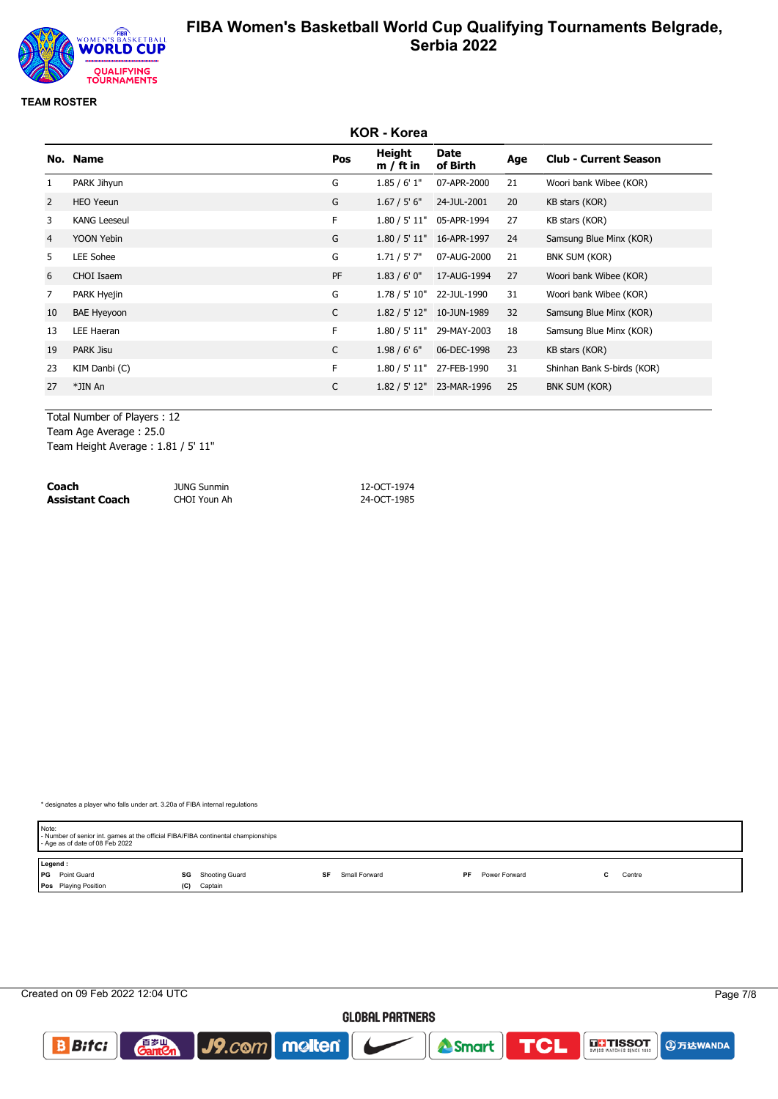

#### **TEAM ROSTER**

|                | <b>KOR - Korea</b>  |     |                       |                           |     |                              |  |  |
|----------------|---------------------|-----|-----------------------|---------------------------|-----|------------------------------|--|--|
|                | No. Name            | Pos | Height<br>$m / ft$ in | Date<br>of Birth          | Age | <b>Club - Current Season</b> |  |  |
| 1              | PARK Jihyun         | G   | 1.85/6'1"             | 07-APR-2000               | 21  | Woori bank Wibee (KOR)       |  |  |
| 2              | <b>HEO Yeeun</b>    | G   | 1.67 / 5' 6''         | 24-JUL-2001               | 20  | KB stars (KOR)               |  |  |
| 3              | <b>KANG Leeseul</b> | F.  |                       | 1.80 / 5' 11" 05-APR-1994 | 27  | KB stars (KOR)               |  |  |
| 4              | YOON Yebin          | G   |                       | 1.80 / 5' 11" 16-APR-1997 | 24  | Samsung Blue Minx (KOR)      |  |  |
| 5              | LEE Sohee           | G   | $1.71 / 5'$ 7"        | 07-AUG-2000               | 21  | BNK SUM (KOR)                |  |  |
| 6              | CHOI Isaem          | PF  | 1.83/6'0''            | 17-AUG-1994               | 27  | Woori bank Wibee (KOR)       |  |  |
| $\overline{7}$ | PARK Hyejin         | G   | 1.78 / 5' 10"         | 22-JUL-1990               | 31  | Woori bank Wibee (KOR)       |  |  |
| 10             | <b>BAE Hyeyoon</b>  | C   |                       | 1.82 / 5' 12" 10-JUN-1989 | 32  | Samsung Blue Minx (KOR)      |  |  |
| 13             | LEE Haeran          | F.  |                       | 1.80 / 5' 11" 29-MAY-2003 | 18  | Samsung Blue Minx (KOR)      |  |  |
| 19             | <b>PARK Jisu</b>    | C   | 1.98 / 6' 6''         | 06-DEC-1998               | 23  | KB stars (KOR)               |  |  |
| 23             | KIM Danbi (C)       | F   | 1.80 / 5' 11"         | 27-FEB-1990               | 31  | Shinhan Bank S-birds (KOR)   |  |  |
| 27             | *JIN An             | C   | 1.82 / 5' 12"         | 23-MAR-1996               | 25  | BNK SUM (KOR)                |  |  |
|                |                     |     |                       |                           |     |                              |  |  |

Total Number of Players : 12

Team Age Average : 25.0

Team Height Average : 1.81 / 5' 11"

| Coach           | <b>JUNG Sunmin</b> | 12-OCT-1974 |
|-----------------|--------------------|-------------|
| Assistant Coach | CHOI Youn Ah       | 24-OCT-1985 |

| Note:<br>- Number of senior int. games at the official FIBA/FIBA continental championships<br>- Age as of date of 08 Feb 2022 |                      |                     |                     |             |  |  |  |
|-------------------------------------------------------------------------------------------------------------------------------|----------------------|---------------------|---------------------|-------------|--|--|--|
| Legend:                                                                                                                       |                      |                     |                     |             |  |  |  |
| <b>PG</b> Point Guard                                                                                                         | Shooting Guard<br>SG | Small Forward<br>SF | PF<br>Power Forward | Centre<br>~ |  |  |  |
| Pos Playing Position                                                                                                          | Captain<br>(C)       |                     |                     |             |  |  |  |